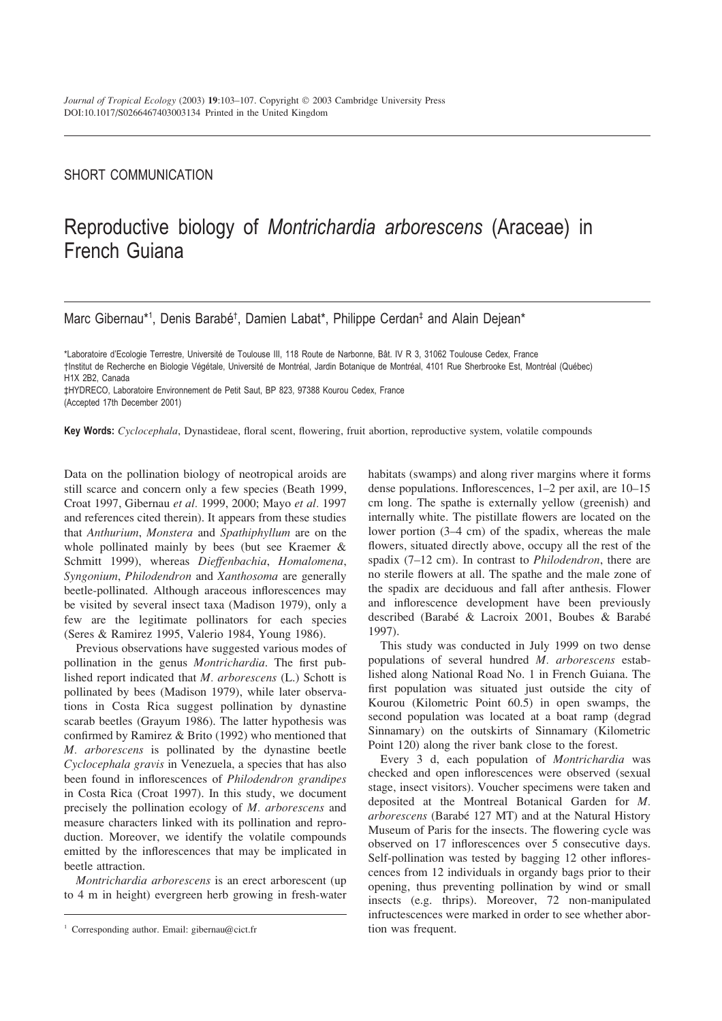## SHORT COMMUNICATION

## Reproductive biology of *Montrichardia arborescens* (Araceae) in French Guiana

Marc Gibernau\*<sup>1</sup>, Denis Barabé<sup>†</sup>, Damien Labat\*, Philippe Cerdan<sup>‡</sup> and Alain Dejean\*

\*Laboratoire d'Ecologie Terrestre, Université de Toulouse III, 118 Route de Narbonne, Bât. IV R 3, 31062 Toulouse Cedex, France †Institut de Recherche en Biologie Végétale, Université de Montréal, Jardin Botanique de Montréal, 4101 Rue Sherbrooke Est, Montréal (Québec) H1X 2B2, Canada

‡HYDRECO, Laboratoire Environnement de Petit Saut, BP 823, 97388 Kourou Cedex, France

(Accepted 17th December 2001)

**Key Words:** *Cyclocephala*, Dynastideae, floral scent, flowering, fruit abortion, reproductive system, volatile compounds

Data on the pollination biology of neotropical aroids are still scarce and concern only a few species (Beath 1999, Croat 1997, Gibernau *et al.* 1999, 2000; Mayo *et al.* 1997 and references cited therein). It appears from these studies that *Anthurium*, *Monstera* and *Spathiphyllum* are on the whole pollinated mainly by bees (but see Kraemer & Schmitt 1999), whereas *Dieffenbachia*, *Homalomena*, *Syngonium*, *Philodendron* and *Xanthosoma* are generally beetle-pollinated. Although araceous inflorescences may be visited by several insect taxa (Madison 1979), only a few are the legitimate pollinators for each species (Seres & Ramirez 1995, Valerio 1984, Young 1986).

Previous observations have suggested various modes of pollination in the genus *Montrichardia*. The first published report indicated that *M. arborescens* (L.) Schott is pollinated by bees (Madison 1979), while later observations in Costa Rica suggest pollination by dynastine scarab beetles (Grayum 1986). The latter hypothesis was confirmed by Ramirez & Brito (1992) who mentioned that *M. arborescens* is pollinated by the dynastine beetle *Cyclocephala gravis* in Venezuela, a species that has also been found in inflorescences of *Philodendron grandipes* in Costa Rica (Croat 1997). In this study, we document precisely the pollination ecology of *M. arborescens* and measure characters linked with its pollination and reproduction. Moreover, we identify the volatile compounds emitted by the inflorescences that may be implicated in beetle attraction.

*Montrichardia arborescens* is an erect arborescent (up to 4 m in height) evergreen herb growing in fresh-water

habitats (swamps) and along river margins where it forms dense populations. Inflorescences, 1–2 per axil, are 10–15 cm long. The spathe is externally yellow (greenish) and internally white. The pistillate flowers are located on the lower portion (3–4 cm) of the spadix, whereas the male flowers, situated directly above, occupy all the rest of the spadix (7–12 cm). In contrast to *Philodendron*, there are no sterile flowers at all. The spathe and the male zone of the spadix are deciduous and fall after anthesis. Flower and inflorescence development have been previously described (Barabé & Lacroix 2001, Boubes & Barabé 1997).

This study was conducted in July 1999 on two dense populations of several hundred *M. arborescens* established along National Road No. 1 in French Guiana. The first population was situated just outside the city of Kourou (Kilometric Point 60.5) in open swamps, the second population was located at a boat ramp (degrad Sinnamary) on the outskirts of Sinnamary (Kilometric Point 120) along the river bank close to the forest.

Every 3 d, each population of *Montrichardia* was checked and open inflorescences were observed (sexual stage, insect visitors). Voucher specimens were taken and deposited at the Montreal Botanical Garden for *M.* arborescens (Barabé 127 MT) and at the Natural History Museum of Paris for the insects. The flowering cycle was observed on 17 inflorescences over 5 consecutive days. Self-pollination was tested by bagging 12 other inflorescences from 12 individuals in organdy bags prior to their opening, thus preventing pollination by wind or small insects (e.g. thrips). Moreover, 72 non-manipulated infructescences were marked in order to see whether abortion was frequent.

<sup>&</sup>lt;sup>1</sup> Corresponding author. Email: gibernau@cict.fr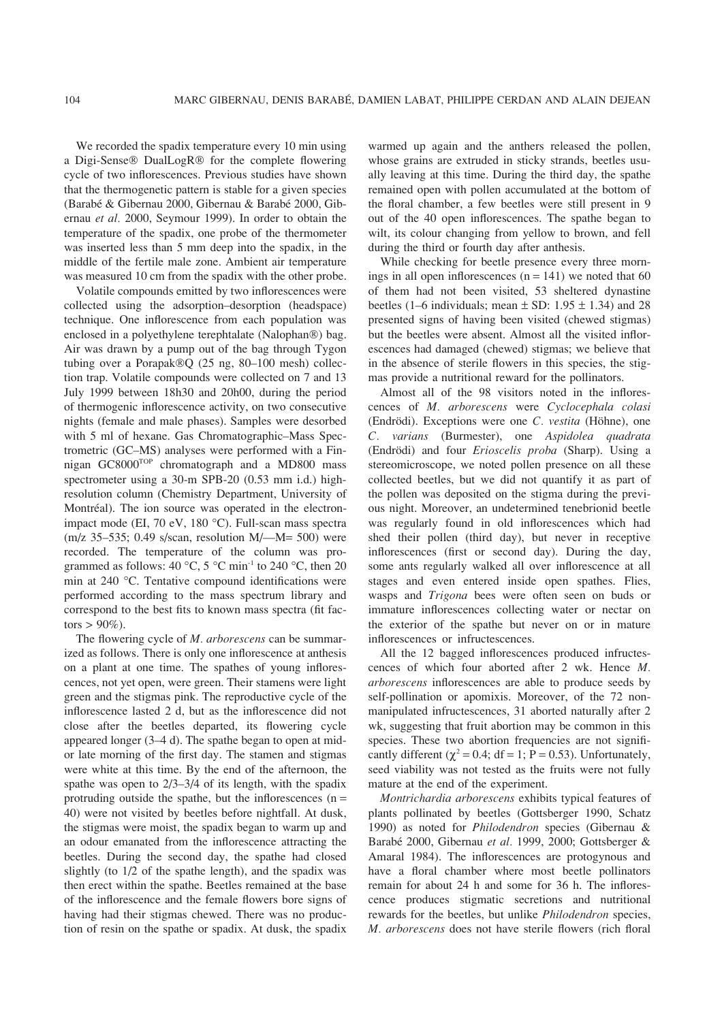We recorded the spadix temperature every 10 min using a Digi-Sense® DualLogR® for the complete flowering cycle of two inflorescences. Previous studies have shown that the thermogenetic pattern is stable for a given species (Barabé & Gibernau 2000, Gibernau & Barabé 2000, Gibernau *et al.* 2000, Seymour 1999). In order to obtain the temperature of the spadix, one probe of the thermometer was inserted less than 5 mm deep into the spadix, in the middle of the fertile male zone. Ambient air temperature was measured 10 cm from the spadix with the other probe.

Volatile compounds emitted by two inflorescences were collected using the adsorption–desorption (headspace) technique. One inflorescence from each population was enclosed in a polyethylene terephtalate (Nalophan®) bag. Air was drawn by a pump out of the bag through Tygon tubing over a Porapak $\mathcal{O}(25 \text{ ng}, 80-100 \text{ mesh})$  collection trap. Volatile compounds were collected on 7 and 13 July 1999 between 18h30 and 20h00, during the period of thermogenic inflorescence activity, on two consecutive nights (female and male phases). Samples were desorbed with 5 ml of hexane. Gas Chromatographic–Mass Spectrometric (GC–MS) analyses were performed with a Finnigan GC8000TOP chromatograph and a MD800 mass spectrometer using a 30-m SPB-20 (0.53 mm i.d.) highresolution column (Chemistry Department, University of Montréal). The ion source was operated in the electronimpact mode (EI, 70 eV, 180 °C). Full-scan mass spectra (m/z 35–535; 0.49 s/scan, resolution M/—M= 500) were recorded. The temperature of the column was programmed as follows: 40 °C, 5 °C min<sup>-1</sup> to 240 °C, then 20 min at 240 °C. Tentative compound identifications were performed according to the mass spectrum library and correspond to the best fits to known mass spectra (fit factors  $> 90\%$ ).

The flowering cycle of *M. arborescens* can be summarized as follows. There is only one inflorescence at anthesis on a plant at one time. The spathes of young inflorescences, not yet open, were green. Their stamens were light green and the stigmas pink. The reproductive cycle of the inflorescence lasted 2 d, but as the inflorescence did not close after the beetles departed, its flowering cycle appeared longer (3–4 d). The spathe began to open at midor late morning of the first day. The stamen and stigmas were white at this time. By the end of the afternoon, the spathe was open to 2/3–3/4 of its length, with the spadix protruding outside the spathe, but the inflorescences  $(n =$ 40) were not visited by beetles before nightfall. At dusk, the stigmas were moist, the spadix began to warm up and an odour emanated from the inflorescence attracting the beetles. During the second day, the spathe had closed slightly (to 1/2 of the spathe length), and the spadix was then erect within the spathe. Beetles remained at the base of the inflorescence and the female flowers bore signs of having had their stigmas chewed. There was no production of resin on the spathe or spadix. At dusk, the spadix

warmed up again and the anthers released the pollen, whose grains are extruded in sticky strands, beetles usually leaving at this time. During the third day, the spathe remained open with pollen accumulated at the bottom of the floral chamber, a few beetles were still present in 9 out of the 40 open inflorescences. The spathe began to wilt, its colour changing from yellow to brown, and fell during the third or fourth day after anthesis.

While checking for beetle presence every three mornings in all open inflorescences  $(n = 141)$  we noted that 60 of them had not been visited, 53 sheltered dynastine beetles (1–6 individuals; mean  $\pm$  SD: 1.95  $\pm$  1.34) and 28 presented signs of having been visited (chewed stigmas) but the beetles were absent. Almost all the visited inflorescences had damaged (chewed) stigmas; we believe that in the absence of sterile flowers in this species, the stigmas provide a nutritional reward for the pollinators.

Almost all of the 98 visitors noted in the inflorescences of *M. arborescens* were *Cyclocephala colasi* (Endrödi). Exceptions were one *C. vestita* (Höhne), one *C. varians* (Burmester), one *Aspidolea quadrata* (Endrödi) and four *Erioscelis proba* (Sharp). Using a stereomicroscope, we noted pollen presence on all these collected beetles, but we did not quantify it as part of the pollen was deposited on the stigma during the previous night. Moreover, an undetermined tenebrionid beetle was regularly found in old inflorescences which had shed their pollen (third day), but never in receptive inflorescences (first or second day). During the day, some ants regularly walked all over inflorescence at all stages and even entered inside open spathes. Flies, wasps and *Trigona* bees were often seen on buds or immature inflorescences collecting water or nectar on the exterior of the spathe but never on or in mature inflorescences or infructescences.

All the 12 bagged inflorescences produced infructescences of which four aborted after 2 wk. Hence *M. arborescens* inflorescences are able to produce seeds by self-pollination or apomixis. Moreover, of the 72 nonmanipulated infructescences, 31 aborted naturally after 2 wk, suggesting that fruit abortion may be common in this species. These two abortion frequencies are not significantly different ( $\chi^2$  = 0.4; df = 1; P = 0.53). Unfortunately, seed viability was not tested as the fruits were not fully mature at the end of the experiment.

*Montrichardia arborescens* exhibits typical features of plants pollinated by beetles (Gottsberger 1990, Schatz 1990) as noted for *Philodendron* species (Gibernau & Barabé 2000, Gibernau et al. 1999, 2000; Gottsberger & Amaral 1984). The inflorescences are protogynous and have a floral chamber where most beetle pollinators remain for about 24 h and some for 36 h. The inflorescence produces stigmatic secretions and nutritional rewards for the beetles, but unlike *Philodendron* species, *M. arborescens* does not have sterile flowers (rich floral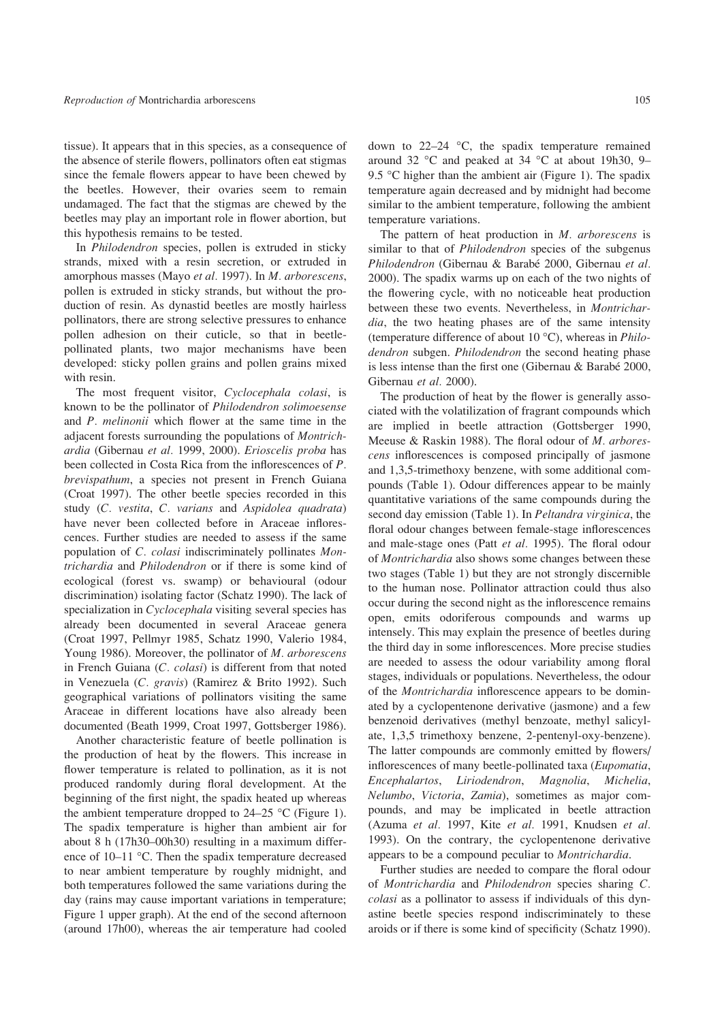tissue). It appears that in this species, as a consequence of the absence of sterile flowers, pollinators often eat stigmas since the female flowers appear to have been chewed by the beetles. However, their ovaries seem to remain undamaged. The fact that the stigmas are chewed by the beetles may play an important role in flower abortion, but this hypothesis remains to be tested.

In *Philodendron* species, pollen is extruded in sticky strands, mixed with a resin secretion, or extruded in amorphous masses (Mayo *et al.* 1997). In *M. arborescens*, pollen is extruded in sticky strands, but without the production of resin. As dynastid beetles are mostly hairless pollinators, there are strong selective pressures to enhance pollen adhesion on their cuticle, so that in beetlepollinated plants, two major mechanisms have been developed: sticky pollen grains and pollen grains mixed with resin.

The most frequent visitor, *Cyclocephala colasi*, is known to be the pollinator of *Philodendron solimoesense* and *P. melinonii* which flower at the same time in the adjacent forests surrounding the populations of *Montrichardia* (Gibernau *et al.* 1999, 2000). *Erioscelis proba* has been collected in Costa Rica from the inflorescences of *P. brevispathum*, a species not present in French Guiana (Croat 1997). The other beetle species recorded in this study (*C. vestita*, *C. varians* and *Aspidolea quadrata*) have never been collected before in Araceae inflorescences. Further studies are needed to assess if the same population of *C. colasi* indiscriminately pollinates *Montrichardia* and *Philodendron* or if there is some kind of ecological (forest vs. swamp) or behavioural (odour discrimination) isolating factor (Schatz 1990). The lack of specialization in *Cyclocephala* visiting several species has already been documented in several Araceae genera (Croat 1997, Pellmyr 1985, Schatz 1990, Valerio 1984, Young 1986). Moreover, the pollinator of *M. arborescens* in French Guiana (*C. colasi*) is different from that noted in Venezuela (*C. gravis*) (Ramirez & Brito 1992). Such geographical variations of pollinators visiting the same Araceae in different locations have also already been documented (Beath 1999, Croat 1997, Gottsberger 1986).

Another characteristic feature of beetle pollination is the production of heat by the flowers. This increase in flower temperature is related to pollination, as it is not produced randomly during floral development. At the beginning of the first night, the spadix heated up whereas the ambient temperature dropped to  $24-25$  °C (Figure 1). The spadix temperature is higher than ambient air for about 8 h (17h30–00h30) resulting in a maximum difference of 10–11 °C. Then the spadix temperature decreased to near ambient temperature by roughly midnight, and both temperatures followed the same variations during the day (rains may cause important variations in temperature; Figure 1 upper graph). At the end of the second afternoon (around 17h00), whereas the air temperature had cooled down to 22–24 °C, the spadix temperature remained around 32 °C and peaked at 34 °C at about 19h30, 9– 9.5 °C higher than the ambient air (Figure 1). The spadix temperature again decreased and by midnight had become similar to the ambient temperature, following the ambient temperature variations.

The pattern of heat production in *M. arborescens* is similar to that of *Philodendron* species of the subgenus *Philodendron* (Gibernau & Barabe´ 2000, Gibernau *et al.* 2000). The spadix warms up on each of the two nights of the flowering cycle, with no noticeable heat production between these two events. Nevertheless, in *Montrichardia*, the two heating phases are of the same intensity (temperature difference of about 10 °C), whereas in *Philodendron* subgen. *Philodendron* the second heating phase is less intense than the first one (Gibernau  $&$  Barabé 2000, Gibernau *et al.* 2000).

The production of heat by the flower is generally associated with the volatilization of fragrant compounds which are implied in beetle attraction (Gottsberger 1990, Meeuse & Raskin 1988). The floral odour of *M. arborescens* inflorescences is composed principally of jasmone and 1,3,5-trimethoxy benzene, with some additional compounds (Table 1). Odour differences appear to be mainly quantitative variations of the same compounds during the second day emission (Table 1). In *Peltandra virginica*, the floral odour changes between female-stage inflorescences and male-stage ones (Patt *et al.* 1995). The floral odour of *Montrichardia* also shows some changes between these two stages (Table 1) but they are not strongly discernible to the human nose. Pollinator attraction could thus also occur during the second night as the inflorescence remains open, emits odoriferous compounds and warms up intensely. This may explain the presence of beetles during the third day in some inflorescences. More precise studies are needed to assess the odour variability among floral stages, individuals or populations. Nevertheless, the odour of the *Montrichardia* inflorescence appears to be dominated by a cyclopentenone derivative (jasmone) and a few benzenoid derivatives (methyl benzoate, methyl salicylate, 1,3,5 trimethoxy benzene, 2-pentenyl-oxy-benzene). The latter compounds are commonly emitted by flowers/ inflorescences of many beetle-pollinated taxa (*Eupomatia*, *Encephalartos*, *Liriodendron*, *Magnolia*, *Michelia*, *Nelumbo*, *Victoria*, *Zamia*), sometimes as major compounds, and may be implicated in beetle attraction (Azuma *et al.* 1997, Kite *et al.* 1991, Knudsen *et al.* 1993). On the contrary, the cyclopentenone derivative appears to be a compound peculiar to *Montrichardia*.

Further studies are needed to compare the floral odour of *Montrichardia* and *Philodendron* species sharing *C. colasi* as a pollinator to assess if individuals of this dynastine beetle species respond indiscriminately to these aroids or if there is some kind of specificity (Schatz 1990).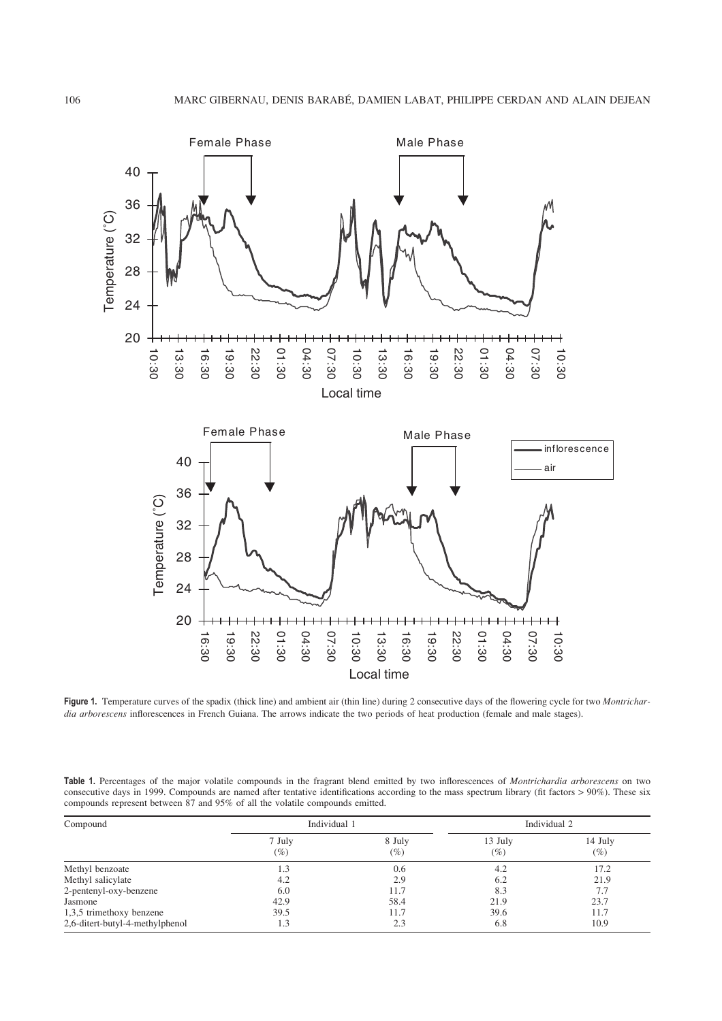

**Figure 1.** Temperature curves of the spadix (thick line) and ambient air (thin line) during 2 consecutive days of the flowering cycle for two *Montrichardia arborescens* inflorescences in French Guiana. The arrows indicate the two periods of heat production (female and male stages).

**Table 1.** Percentages of the major volatile compounds in the fragrant blend emitted by two inflorescences of *Montrichardia arborescens* on two consecutive days in 1999. Compounds are named after tentative identifications according to the mass spectrum library (fit factors > 90%). These six compounds represent between 87 and 95% of all the volatile compounds emitted.

| Compound                        | Individual 1     |                  | Individual 2      |                   |
|---------------------------------|------------------|------------------|-------------------|-------------------|
|                                 | 7 July<br>$(\%)$ | 8 July<br>$(\%)$ | 13 July<br>$(\%)$ | 14 July<br>$(\%)$ |
| Methyl benzoate                 | 1.3              | 0.6              | 4.2               | 17.2              |
| Methyl salicylate               | 4.2              | 2.9              | 6.2               | 21.9              |
| 2-pentenyl-oxy-benzene          | 6.0              | 11.7             | 8.3               | 7.7               |
| Jasmone                         | 42.9             | 58.4             | 21.9              | 23.7              |
| 1,3,5 trimethoxy benzene        | 39.5             | 11.7             | 39.6              | 11.7              |
| 2,6-ditert-butyl-4-methylphenol | 1.3              | 2.3              | 6.8               | 10.9              |